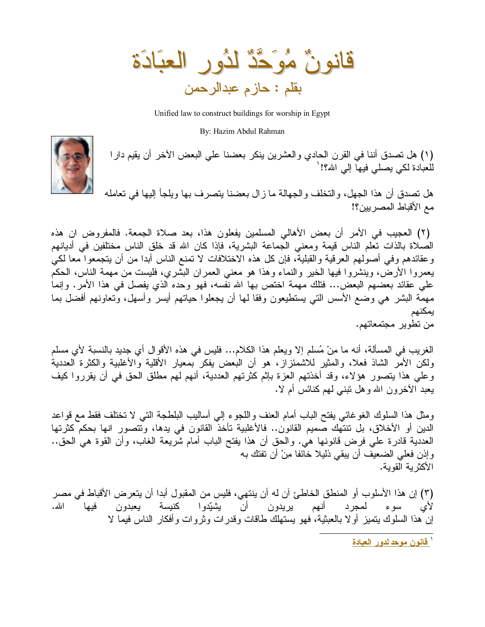قَانُونٌ مُوَحَّدٌ لَدُورِ الْعِبَادَةِ بقلم : حازم عبدالرحمن

Unified law to construct buildings for worship in Egypt

By: Hazim Abdul Rahman

(١) هل نصدق أننا في القرن الحادي والعشرين ينكر بعضنا على البعض الأخر أن يقيم دارا للعبادة لكي يصلبي فيها إلى الله؟! '



هل نصدق أن هذا الجهل، والنخلف والجهالة ما زال بعضنا يتصرف بها ويلجأ إليها في نعامله مع الأقباط المصر بين؟!

(٢) العجيب في الأمر أن بعض الأهالي المسلمين يفعلون هذا، بعد صلاة الجمعة. فالمفروض ان هذه الصلاة بالذات نعلم الناس قيمة ومعنى الجماعة البشرية، فإذا كان الله قد خلق الناس مختلفين في أديانهم وعقائدهم وفي أصولهم العرقية والقبلية، فإن كل هذه الاختلافات لا تمنع الناس أبدا من أن يتجمعوا معا لكي يعمروا الأرض، وينشروا فيها الخير والنماء وهذا هو معنى العمران البشري، فليست من مهمة الناس، الحكم على عقائد بعضهم البعض... فتلك مهمة اختص بها الله نفسه، فهو وحده الذي يفصل في هذا الأمر. وإنما مهمة البشر هي وضع الأسس التبي يستطيعون وفقا لمها أن يجعلوا حياتهم أيسر وأسهل، ونعاونهم أفضل بما يمكنهم من تطوير مجتمعاتهم.

الغريب في المسألة، أنه ما مِنْ مُسلم إلا ويعلم هذا الكلام... فليس في هذه الأقوال أي جديد بالنسبة لأي مسلم ولكن الأمر الشاذ فعلا، والمثير للاشمئزاز، هو أن البعض يفكر بمعيار الأقلية والأغلبية والكثرة العددية وعلى هذا يتصور هؤلاء، وقد أخذتهم العزة بإثم كثرتهم العددية، أنهم لهم مطلق الحق في أن يقرروا كيف يعبد الأخرون الله و هل نبني لمهم كنائس أم لا.

ومثل هذا السلوك الغوغائبي يفتح الباب أمام العنف واللجوء إلىي أساليب البلطجة التبي لا تختلف فقط مع قواعد الدين أو الأخلاق، بل نتنهك صميم القانون.. فالأغلبية نأخذ القانون في يدها، ونتصور انها بحكم كثرتها العددية قادرة على فرض قانونـها هي. والـحق أن هذا يفتح الباب أمـام شريعة الغاب، وأن القوة هي الـحق.. وإذن فعلى الضعيف أن يبقى ذليلا خائفا مِنْ أن تفتك به الأكثرية القوية.

(٣) إن هذا الأسلوب أو المنطق الخاطئ آن له أن ينتهي، فليس من المقبول أبدا أن يتعرض الأقباط في مصر سوء لمجرد أنهم يريدون أن يشيّدوا كنيسة يعبدون الله. فيها لای إن هذا السلوك يتميز أو لا بالعبثية، فهو يستهلك طاقات وقدر ات و ثر و ات و أفكار الناس فيما لا

<sup>`</sup> قانون موحد لدور العبادة